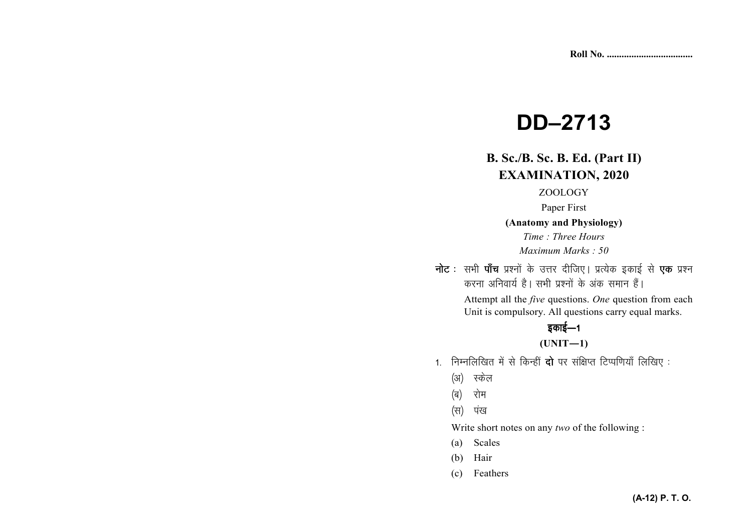# **DD–2713**

# **B. Sc./B. Sc. B. Ed. (Part II) EXAMINATION, 2020**

## ZOOLOGY

Paper First

**(Anatomy and Physiology)** 

*Time : Three Hours Maximum Marks : 50*

नोट : सभी पाँच प्रश्नों के उत्तर दीजिए। प्रत्येक इकाई से एक प्रश्न करना अनिवार्य है। सभी प्रश्नों के अंक समान हैं।

> Attempt all the *five* questions. *One* question from each Unit is compulsory. All questions carry equal marks.

## इकाई—1

## **(UNIT—1)**

- 1. निम्नलिखित में से किन्हीं **दो** पर संक्षिप्त टिप्पणियाँ लिखिए:
	- (अ) स्केल
	- (ब) रोम
	- (स) पंख

Write short notes on any *two* of the following :

- (a) Scales
- (b) Hair
- (c) Feathers